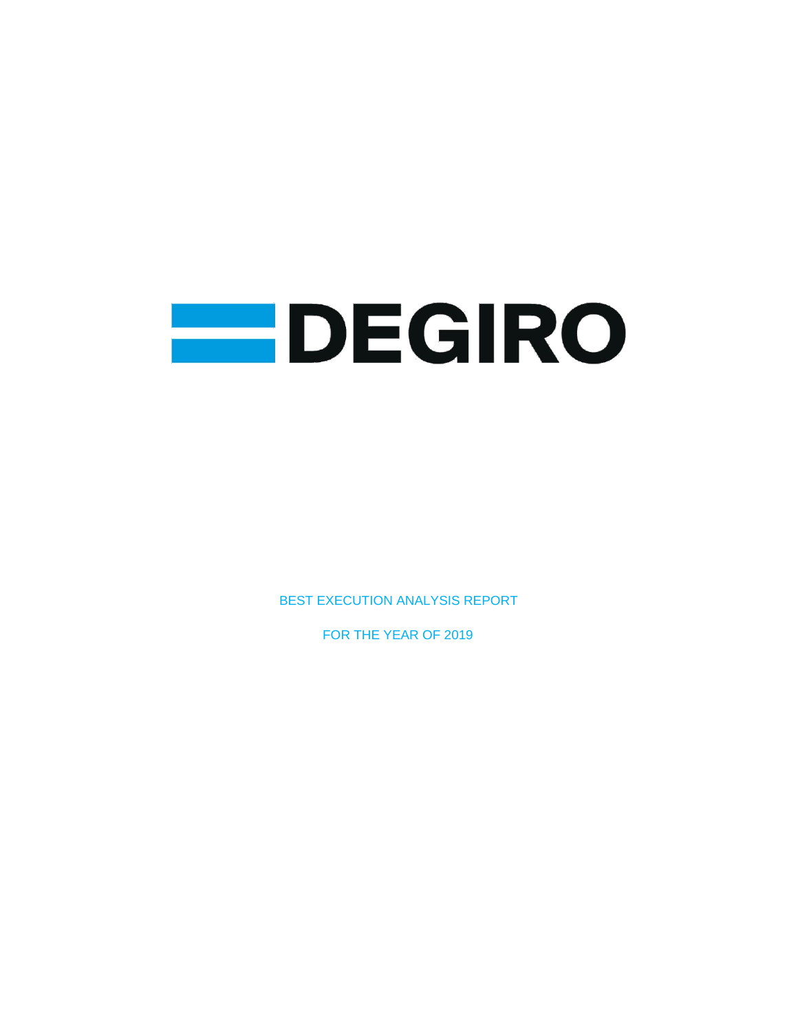

BEST EXECUTION ANALYSIS REPORT

FOR THE YEAR OF 2019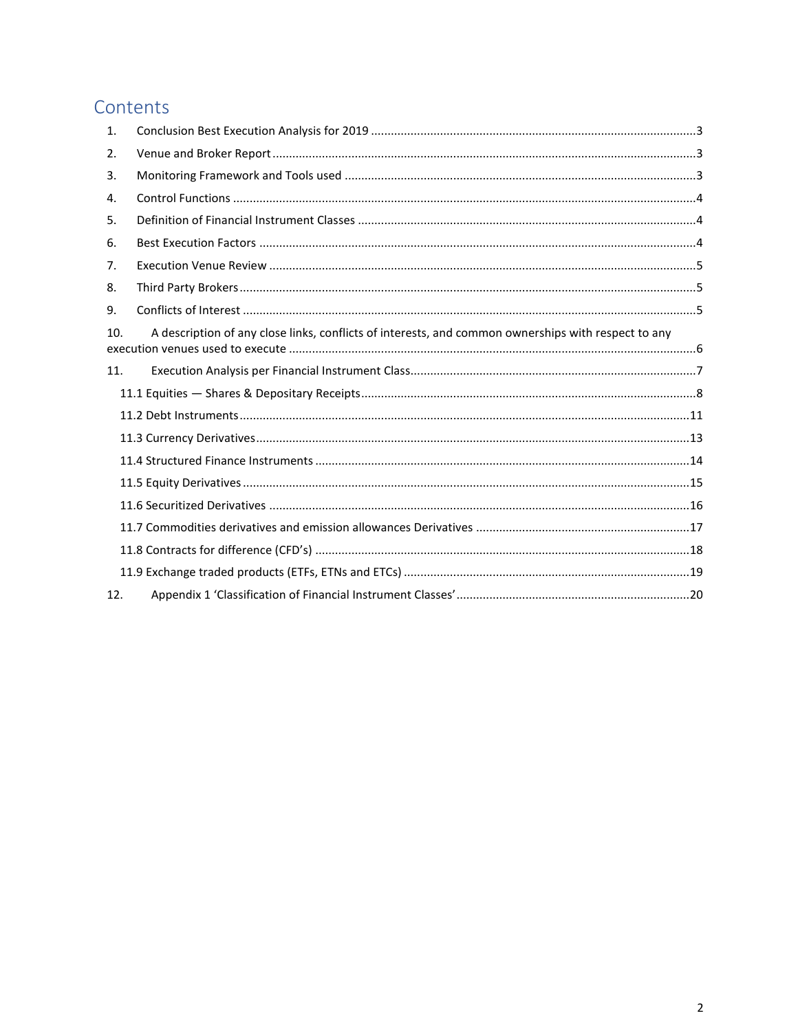# Contents

| $\mathbf{1}$ . |                                                                                                     |
|----------------|-----------------------------------------------------------------------------------------------------|
| 2.             |                                                                                                     |
| 3.             |                                                                                                     |
| 4.             |                                                                                                     |
| 5.             |                                                                                                     |
| 6.             |                                                                                                     |
| 7.             |                                                                                                     |
| 8.             |                                                                                                     |
| 9.             |                                                                                                     |
| 10.            | A description of any close links, conflicts of interests, and common ownerships with respect to any |
| 11.            |                                                                                                     |
|                |                                                                                                     |
|                |                                                                                                     |
|                |                                                                                                     |
|                |                                                                                                     |
|                |                                                                                                     |
|                |                                                                                                     |
|                |                                                                                                     |
|                |                                                                                                     |
|                |                                                                                                     |
| 12.            |                                                                                                     |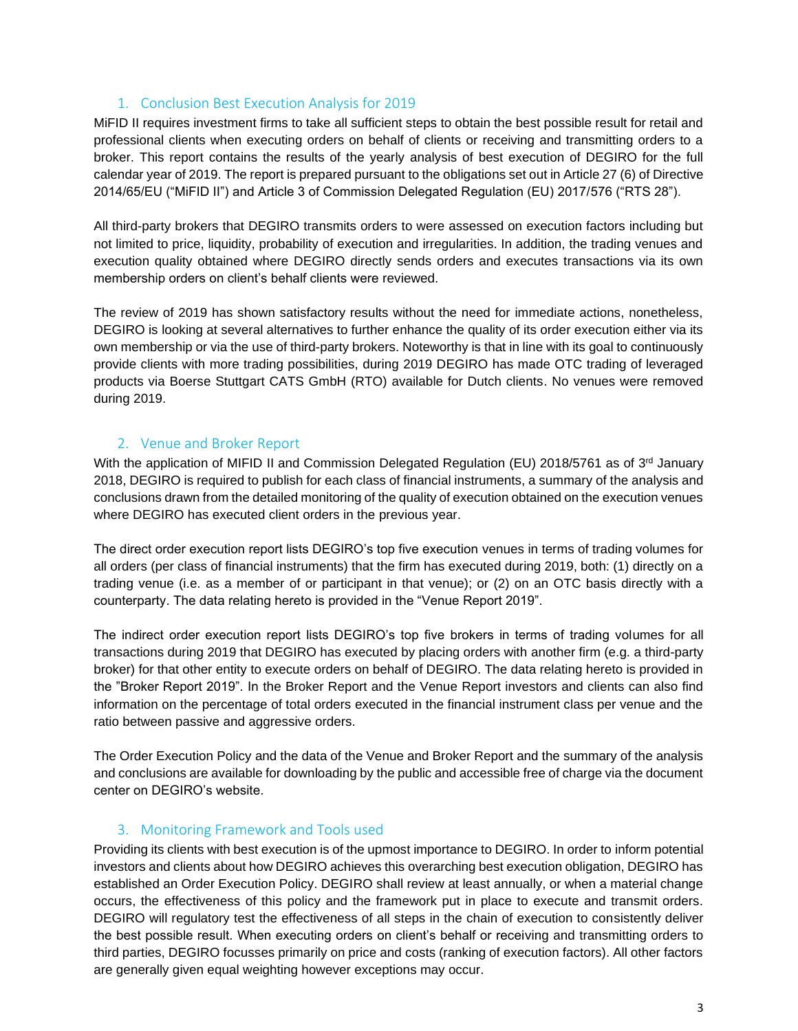## 1. Conclusion Best Execution Analysis for 2019

<span id="page-2-0"></span>MiFID II requires investment firms to take all sufficient steps to obtain the best possible result for retail and professional clients when executing orders on behalf of clients or receiving and transmitting orders to a broker. This report contains the results of the yearly analysis of best execution of DEGIRO for the full calendar year of 2019. The report is prepared pursuant to the obligations set out in Article 27 (6) of Directive 2014/65/EU ("MiFID II") and Article 3 of Commission Delegated Regulation (EU) 2017/576 ("RTS 28").

All third-party brokers that DEGIRO transmits orders to were assessed on execution factors including but not limited to price, liquidity, probability of execution and irregularities. In addition, the trading venues and execution quality obtained where DEGIRO directly sends orders and executes transactions via its own membership orders on client's behalf clients were reviewed.

The review of 2019 has shown satisfactory results without the need for immediate actions, nonetheless, DEGIRO is looking at several alternatives to further enhance the quality of its order execution either via its own membership or via the use of third-party brokers. Noteworthy is that in line with its goal to continuously provide clients with more trading possibilities, during 2019 DEGIRO has made OTC trading of leveraged products via Boerse Stuttgart CATS GmbH (RTO) available for Dutch clients. No venues were removed during 2019.

## 2. Venue and Broker Report

<span id="page-2-1"></span>With the application of MIFID II and Commission Delegated Regulation (EU) 2018/5761 as of 3<sup>rd</sup> January 2018, DEGIRO is required to publish for each class of financial instruments, a summary of the analysis and conclusions drawn from the detailed monitoring of the quality of execution obtained on the execution venues where DEGIRO has executed client orders in the previous year.

The direct order execution report lists DEGIRO's top five execution venues in terms of trading volumes for all orders (per class of financial instruments) that the firm has executed during 2019, both: (1) directly on a trading venue (i.e. as a member of or participant in that venue); or (2) on an OTC basis directly with a counterparty. The data relating hereto is provided in the "Venue Report 2019".

The indirect order execution report lists DEGIRO's top five brokers in terms of trading volumes for all transactions during 2019 that DEGIRO has executed by placing orders with another firm (e.g. a third-party broker) for that other entity to execute orders on behalf of DEGIRO. The data relating hereto is provided in the "Broker Report 2019". In the Broker Report and the Venue Report investors and clients can also find information on the percentage of total orders executed in the financial instrument class per venue and the ratio between passive and aggressive orders.

The Order Execution Policy and the data of the Venue and Broker Report and the summary of the analysis and conclusions are available for downloading by the public and accessible free of charge via the document center on DEGIRO's website.

## 3. Monitoring Framework and Tools used

<span id="page-2-2"></span>Providing its clients with best execution is of the upmost importance to DEGIRO. In order to inform potential investors and clients about how DEGIRO achieves this overarching best execution obligation, DEGIRO has established an Order Execution Policy. DEGIRO shall review at least annually, or when a material change occurs, the effectiveness of this policy and the framework put in place to execute and transmit orders. DEGIRO will regulatory test the effectiveness of all steps in the chain of execution to consistently deliver the best possible result. When executing orders on client's behalf or receiving and transmitting orders to third parties, DEGIRO focusses primarily on price and costs (ranking of execution factors). All other factors are generally given equal weighting however exceptions may occur.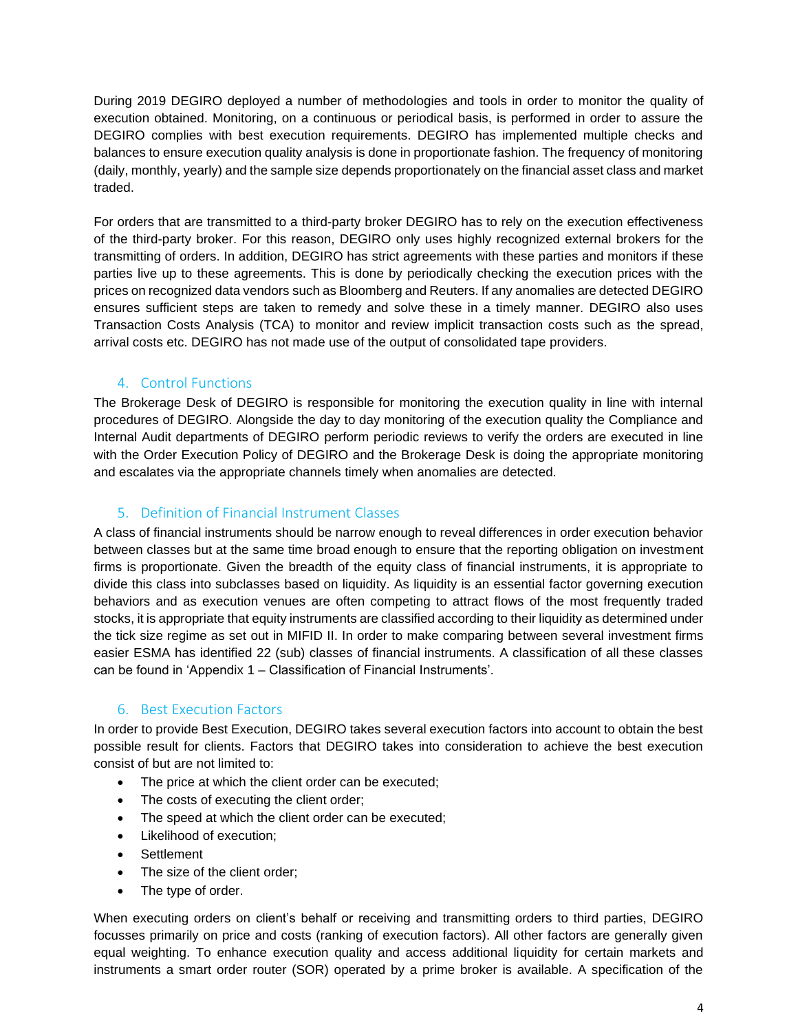During 2019 DEGIRO deployed a number of methodologies and tools in order to monitor the quality of execution obtained. Monitoring, on a continuous or periodical basis, is performed in order to assure the DEGIRO complies with best execution requirements. DEGIRO has implemented multiple checks and balances to ensure execution quality analysis is done in proportionate fashion. The frequency of monitoring (daily, monthly, yearly) and the sample size depends proportionately on the financial asset class and market traded.

For orders that are transmitted to a third-party broker DEGIRO has to rely on the execution effectiveness of the third-party broker. For this reason, DEGIRO only uses highly recognized external brokers for the transmitting of orders. In addition, DEGIRO has strict agreements with these parties and monitors if these parties live up to these agreements. This is done by periodically checking the execution prices with the prices on recognized data vendors such as Bloomberg and Reuters. If any anomalies are detected DEGIRO ensures sufficient steps are taken to remedy and solve these in a timely manner. DEGIRO also uses Transaction Costs Analysis (TCA) to monitor and review implicit transaction costs such as the spread, arrival costs etc. DEGIRO has not made use of the output of consolidated tape providers.

## 4. Control Functions

<span id="page-3-0"></span>The Brokerage Desk of DEGIRO is responsible for monitoring the execution quality in line with internal procedures of DEGIRO. Alongside the day to day monitoring of the execution quality the Compliance and Internal Audit departments of DEGIRO perform periodic reviews to verify the orders are executed in line with the Order Execution Policy of DEGIRO and the Brokerage Desk is doing the appropriate monitoring and escalates via the appropriate channels timely when anomalies are detected.

## 5. Definition of Financial Instrument Classes

<span id="page-3-1"></span>A class of financial instruments should be narrow enough to reveal differences in order execution behavior between classes but at the same time broad enough to ensure that the reporting obligation on investment firms is proportionate. Given the breadth of the equity class of financial instruments, it is appropriate to divide this class into subclasses based on liquidity. As liquidity is an essential factor governing execution behaviors and as execution venues are often competing to attract flows of the most frequently traded stocks, it is appropriate that equity instruments are classified according to their liquidity as determined under the tick size regime as set out in MIFID II. In order to make comparing between several investment firms easier ESMA has identified 22 (sub) classes of financial instruments. A classification of all these classes can be found in 'Appendix 1 – Classification of Financial Instruments'.

## 6. Best Execution Factors

<span id="page-3-2"></span>In order to provide Best Execution, DEGIRO takes several execution factors into account to obtain the best possible result for clients. Factors that DEGIRO takes into consideration to achieve the best execution consist of but are not limited to:

- The price at which the client order can be executed;
- The costs of executing the client order;
- The speed at which the client order can be executed;
- Likelihood of execution;
- Settlement
- The size of the client order;
- The type of order.

When executing orders on client's behalf or receiving and transmitting orders to third parties, DEGIRO focusses primarily on price and costs (ranking of execution factors). All other factors are generally given equal weighting. To enhance execution quality and access additional liquidity for certain markets and instruments a smart order router (SOR) operated by a prime broker is available. A specification of the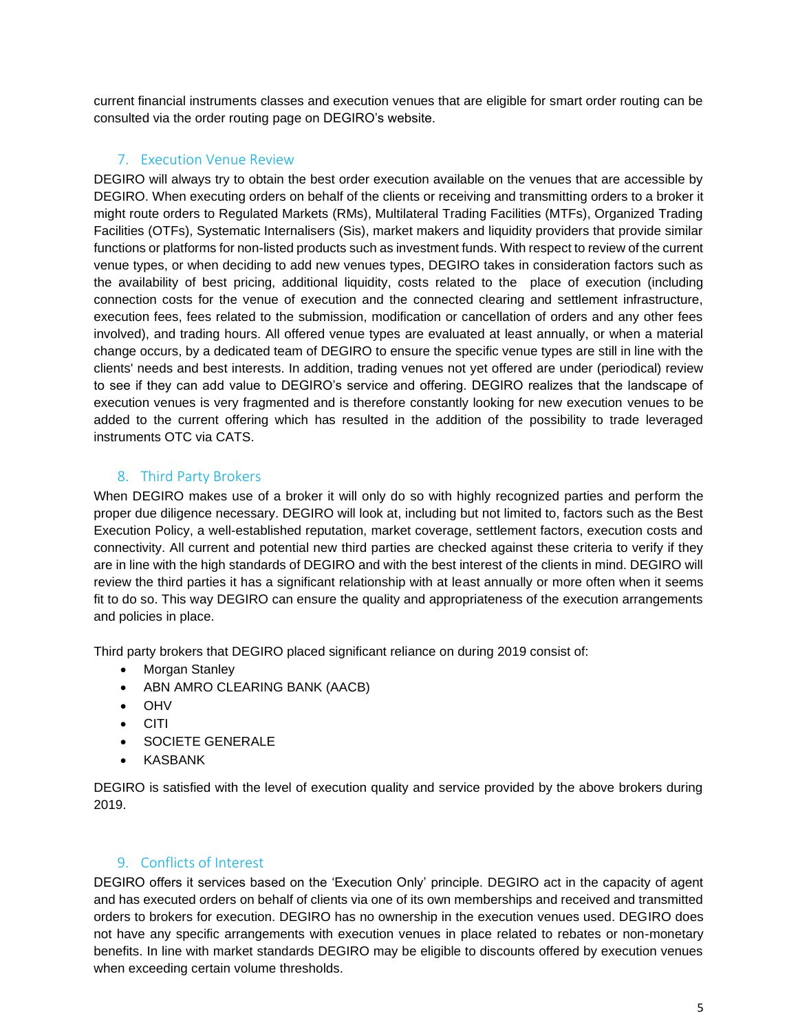current financial instruments classes and execution venues that are eligible for smart order routing can be consulted via the order routing page on DEGIRO's website.

### 7. Execution Venue Review

<span id="page-4-0"></span>DEGIRO will always try to obtain the best order execution available on the venues that are accessible by DEGIRO. When executing orders on behalf of the clients or receiving and transmitting orders to a broker it might route orders to Regulated Markets (RMs), Multilateral Trading Facilities (MTFs), Organized Trading Facilities (OTFs), Systematic Internalisers (Sis), market makers and liquidity providers that provide similar functions or platforms for non-listed products such as investment funds. With respect to review of the current venue types, or when deciding to add new venues types, DEGIRO takes in consideration factors such as the availability of best pricing, additional liquidity, costs related to the place of execution (including connection costs for the venue of execution and the connected clearing and settlement infrastructure, execution fees, fees related to the submission, modification or cancellation of orders and any other fees involved), and trading hours. All offered venue types are evaluated at least annually, or when a material change occurs, by a dedicated team of DEGIRO to ensure the specific venue types are still in line with the clients' needs and best interests. In addition, trading venues not yet offered are under (periodical) review to see if they can add value to DEGIRO's service and offering. DEGIRO realizes that the landscape of execution venues is very fragmented and is therefore constantly looking for new execution venues to be added to the current offering which has resulted in the addition of the possibility to trade leveraged instruments OTC via CATS.

## <span id="page-4-1"></span>8. Third Party Brokers

When DEGIRO makes use of a broker it will only do so with highly recognized parties and perform the proper due diligence necessary. DEGIRO will look at, including but not limited to, factors such as the Best Execution Policy, a well-established reputation, market coverage, settlement factors, execution costs and connectivity. All current and potential new third parties are checked against these criteria to verify if they are in line with the high standards of DEGIRO and with the best interest of the clients in mind. DEGIRO will review the third parties it has a significant relationship with at least annually or more often when it seems fit to do so. This way DEGIRO can ensure the quality and appropriateness of the execution arrangements and policies in place.

Third party brokers that DEGIRO placed significant reliance on during 2019 consist of:

- Morgan Stanley
- ABN AMRO CLEARING BANK (AACB)
- OHV
- CITI
- SOCIETE GENERALE
- KASBANK

DEGIRO is satisfied with the level of execution quality and service provided by the above brokers during 2019.

## 9. Conflicts of Interest

<span id="page-4-2"></span>DEGIRO offers it services based on the 'Execution Only' principle. DEGIRO act in the capacity of agent and has executed orders on behalf of clients via one of its own memberships and received and transmitted orders to brokers for execution. DEGIRO has no ownership in the execution venues used. DEGIRO does not have any specific arrangements with execution venues in place related to rebates or non-monetary benefits. In line with market standards DEGIRO may be eligible to discounts offered by execution venues when exceeding certain volume thresholds.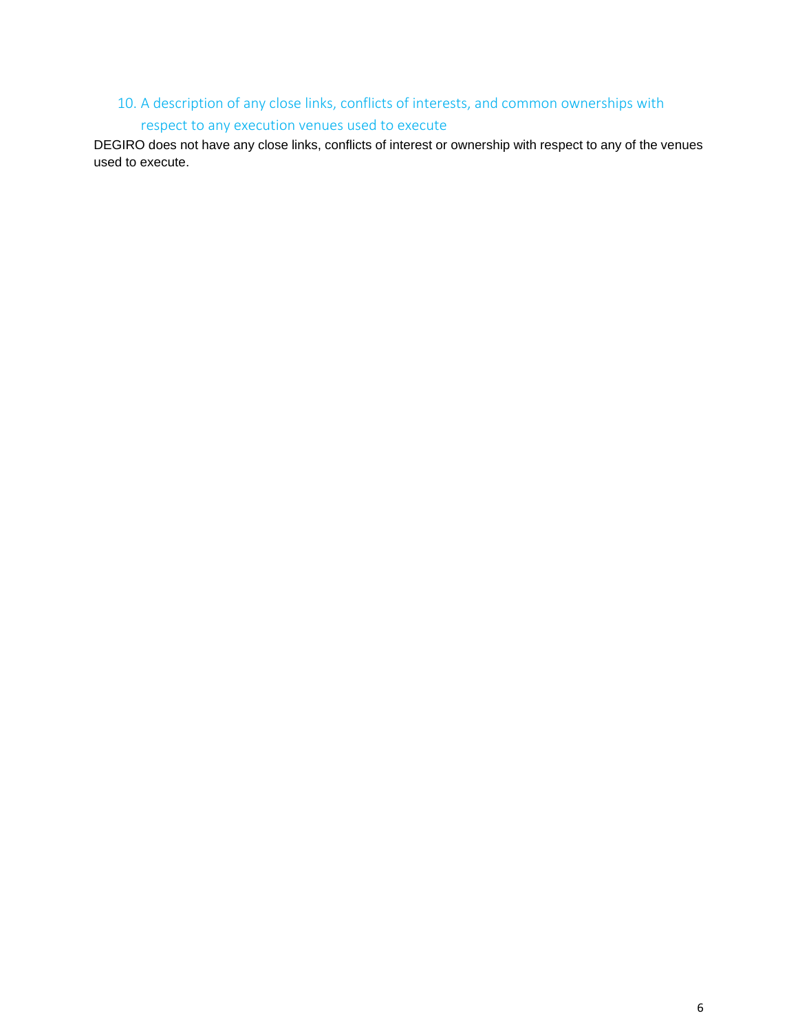## <span id="page-5-0"></span>10. A description of any close links, conflicts of interests, and common ownerships with respect to any execution venues used to execute

DEGIRO does not have any close links, conflicts of interest or ownership with respect to any of the venues used to execute.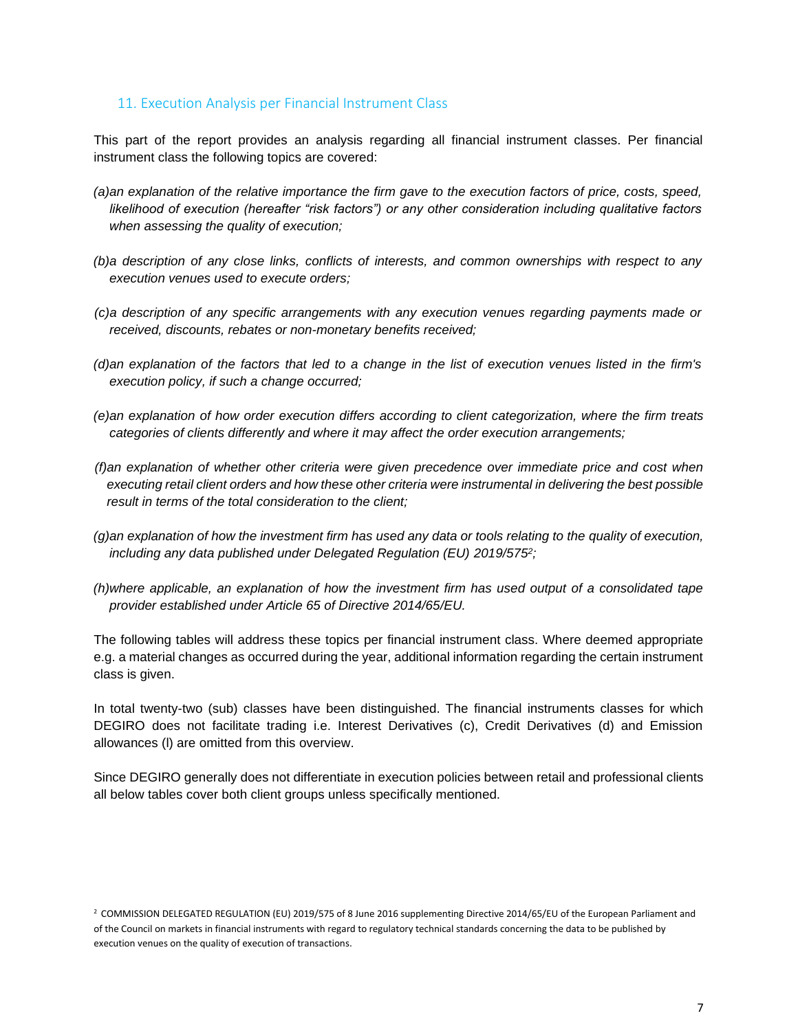#### <span id="page-6-0"></span>11. Execution Analysis per Financial Instrument Class

This part of the report provides an analysis regarding all financial instrument classes. Per financial instrument class the following topics are covered:

- *(a)an explanation of the relative importance the firm gave to the execution factors of price, costs, speed, likelihood of execution (hereafter "risk factors") or any other consideration including qualitative factors when assessing the quality of execution;*
- *(b)a description of any close links, conflicts of interests, and common ownerships with respect to any execution venues used to execute orders;*
- *(c)a description of any specific arrangements with any execution venues regarding payments made or received, discounts, rebates or non-monetary benefits received;*
- *(d)an explanation of the factors that led to a change in the list of execution venues listed in the firm's execution policy, if such a change occurred;*
- *(e)an explanation of how order execution differs according to client categorization, where the firm treats categories of clients differently and where it may affect the order execution arrangements;*
- *(f)an explanation of whether other criteria were given precedence over immediate price and cost when executing retail client orders and how these other criteria were instrumental in delivering the best possible result in terms of the total consideration to the client;*
- *(g)an explanation of how the investment firm has used any data or tools relating to the quality of execution, including any data published under Delegated Regulation (EU) 2019/575<sup>2</sup> ;*
- *(h)where applicable, an explanation of how the investment firm has used output of a consolidated tape provider established under Article 65 of Directive 2014/65/EU.*

The following tables will address these topics per financial instrument class. Where deemed appropriate e.g. a material changes as occurred during the year, additional information regarding the certain instrument class is given.

In total twenty-two (sub) classes have been distinguished. The financial instruments classes for which DEGIRO does not facilitate trading i.e. Interest Derivatives (c), Credit Derivatives (d) and Emission allowances (l) are omitted from this overview.

Since DEGIRO generally does not differentiate in execution policies between retail and professional clients all below tables cover both client groups unless specifically mentioned.

<sup>2</sup> COMMISSION DELEGATED REGULATION (EU) 2019/575 of 8 June 2016 supplementing Directive 2014/65/EU of the European Parliament and of the Council on markets in financial instruments with regard to regulatory technical standards concerning the data to be published by execution venues on the quality of execution of transactions.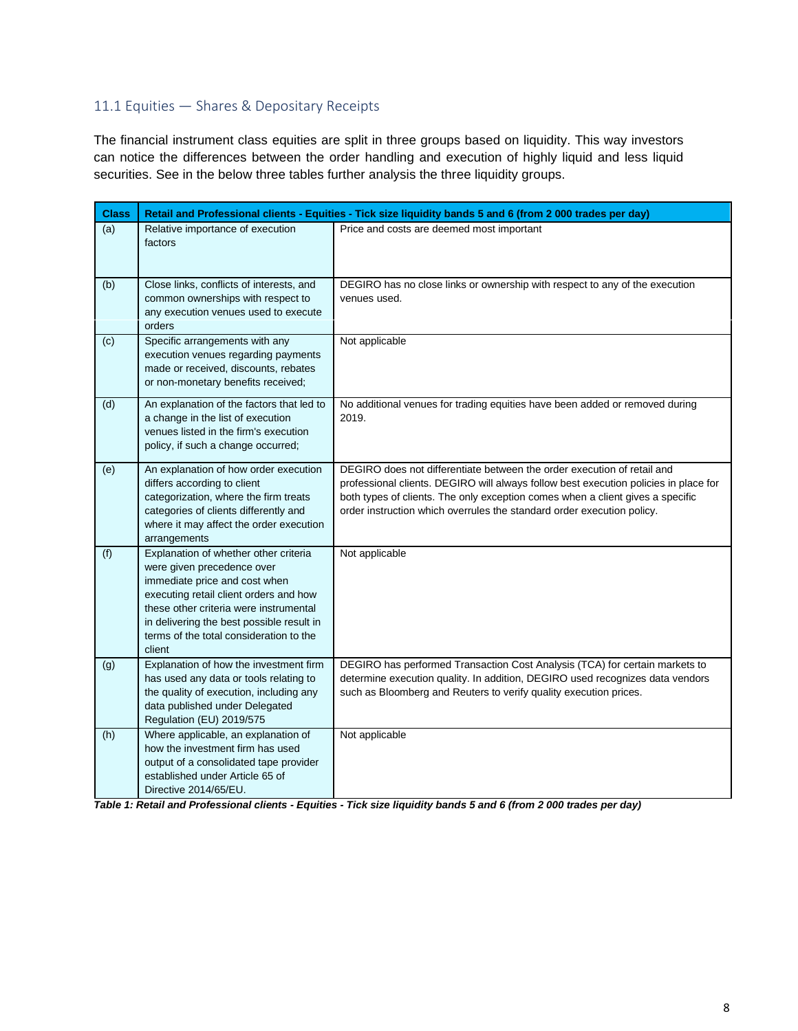## <span id="page-7-0"></span>11.1 Equities — Shares & Depositary Receipts

The financial instrument class equities are split in three groups based on liquidity. This way investors can notice the differences between the order handling and execution of highly liquid and less liquid securities. See in the below three tables further analysis the three liquidity groups.

| <b>Class</b> |                                                                                                                                                                                                                                                                                            | Retail and Professional clients - Equities - Tick size liquidity bands 5 and 6 (from 2 000 trades per day)                                                                                                                                                                                                                  |
|--------------|--------------------------------------------------------------------------------------------------------------------------------------------------------------------------------------------------------------------------------------------------------------------------------------------|-----------------------------------------------------------------------------------------------------------------------------------------------------------------------------------------------------------------------------------------------------------------------------------------------------------------------------|
| (a)          | Relative importance of execution<br>factors                                                                                                                                                                                                                                                | Price and costs are deemed most important                                                                                                                                                                                                                                                                                   |
| (b)          | Close links, conflicts of interests, and<br>common ownerships with respect to<br>any execution venues used to execute<br>orders                                                                                                                                                            | DEGIRO has no close links or ownership with respect to any of the execution<br>venues used.                                                                                                                                                                                                                                 |
| (c)          | Specific arrangements with any<br>execution venues regarding payments<br>made or received, discounts, rebates<br>or non-monetary benefits received;                                                                                                                                        | Not applicable                                                                                                                                                                                                                                                                                                              |
| (d)          | An explanation of the factors that led to<br>a change in the list of execution<br>venues listed in the firm's execution<br>policy, if such a change occurred;                                                                                                                              | No additional venues for trading equities have been added or removed during<br>2019.                                                                                                                                                                                                                                        |
| (e)          | An explanation of how order execution<br>differs according to client<br>categorization, where the firm treats<br>categories of clients differently and<br>where it may affect the order execution<br>arrangements                                                                          | DEGIRO does not differentiate between the order execution of retail and<br>professional clients. DEGIRO will always follow best execution policies in place for<br>both types of clients. The only exception comes when a client gives a specific<br>order instruction which overrules the standard order execution policy. |
| (f)          | Explanation of whether other criteria<br>were given precedence over<br>immediate price and cost when<br>executing retail client orders and how<br>these other criteria were instrumental<br>in delivering the best possible result in<br>terms of the total consideration to the<br>client | Not applicable                                                                                                                                                                                                                                                                                                              |
| (g)          | Explanation of how the investment firm<br>has used any data or tools relating to<br>the quality of execution, including any<br>data published under Delegated<br>Regulation (EU) 2019/575                                                                                                  | DEGIRO has performed Transaction Cost Analysis (TCA) for certain markets to<br>determine execution quality. In addition, DEGIRO used recognizes data vendors<br>such as Bloomberg and Reuters to verify quality execution prices.                                                                                           |
| (h)          | Where applicable, an explanation of<br>how the investment firm has used<br>output of a consolidated tape provider<br>established under Article 65 of<br>Directive 2014/65/EU.                                                                                                              | Not applicable                                                                                                                                                                                                                                                                                                              |

*Table 1: Retail and Professional clients - Equities - Tick size liquidity bands 5 and 6 (from 2 000 trades per day)*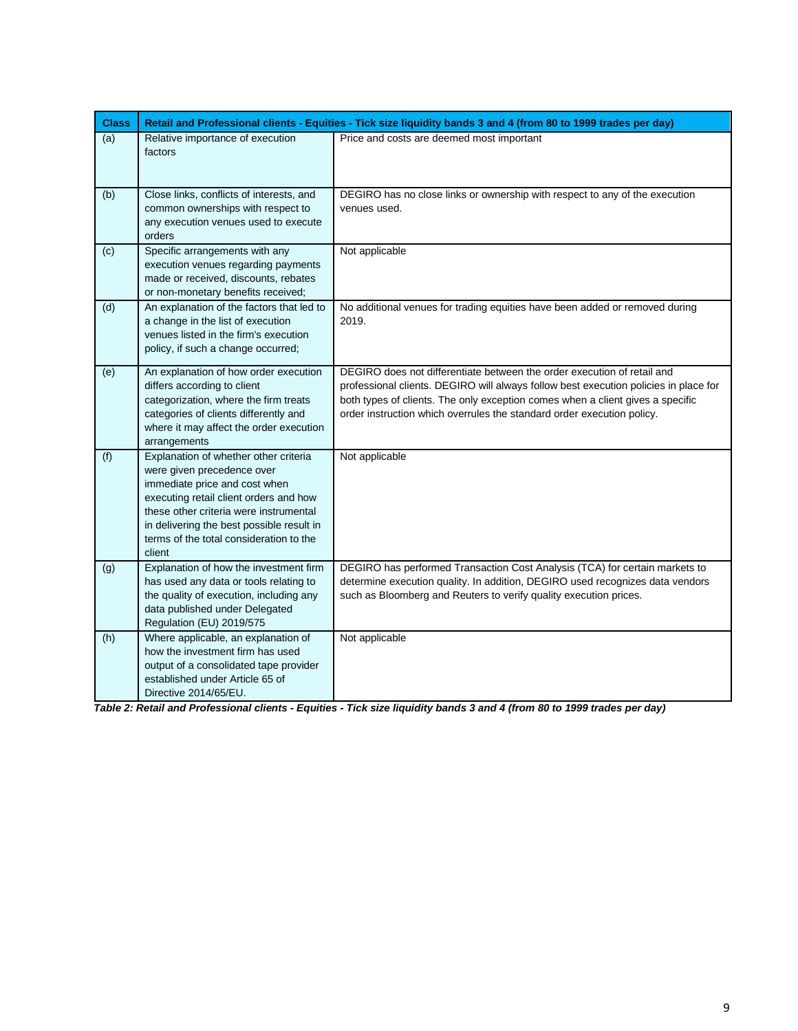| <b>Class</b> |                                                                                                                                                                                                                                                                                            | Retail and Professional clients - Equities - Tick size liquidity bands 3 and 4 (from 80 to 1999 trades per day)                                                                                                                                                                                                             |
|--------------|--------------------------------------------------------------------------------------------------------------------------------------------------------------------------------------------------------------------------------------------------------------------------------------------|-----------------------------------------------------------------------------------------------------------------------------------------------------------------------------------------------------------------------------------------------------------------------------------------------------------------------------|
| (a)          | Relative importance of execution<br>factors                                                                                                                                                                                                                                                | Price and costs are deemed most important                                                                                                                                                                                                                                                                                   |
| (b)          | Close links, conflicts of interests, and<br>common ownerships with respect to<br>any execution venues used to execute<br>orders                                                                                                                                                            | DEGIRO has no close links or ownership with respect to any of the execution<br>venues used.                                                                                                                                                                                                                                 |
| (c)          | Specific arrangements with any<br>execution venues regarding payments<br>made or received, discounts, rebates<br>or non-monetary benefits received;                                                                                                                                        | Not applicable                                                                                                                                                                                                                                                                                                              |
| (d)          | An explanation of the factors that led to<br>a change in the list of execution<br>venues listed in the firm's execution<br>policy, if such a change occurred;                                                                                                                              | No additional venues for trading equities have been added or removed during<br>2019.                                                                                                                                                                                                                                        |
| (e)          | An explanation of how order execution<br>differs according to client<br>categorization, where the firm treats<br>categories of clients differently and<br>where it may affect the order execution<br>arrangements                                                                          | DEGIRO does not differentiate between the order execution of retail and<br>professional clients. DEGIRO will always follow best execution policies in place for<br>both types of clients. The only exception comes when a client gives a specific<br>order instruction which overrules the standard order execution policy. |
| (f)          | Explanation of whether other criteria<br>were given precedence over<br>immediate price and cost when<br>executing retail client orders and how<br>these other criteria were instrumental<br>in delivering the best possible result in<br>terms of the total consideration to the<br>client | Not applicable                                                                                                                                                                                                                                                                                                              |
| (g)          | Explanation of how the investment firm<br>has used any data or tools relating to<br>the quality of execution, including any<br>data published under Delegated<br>Regulation (EU) 2019/575                                                                                                  | DEGIRO has performed Transaction Cost Analysis (TCA) for certain markets to<br>determine execution quality. In addition, DEGIRO used recognizes data vendors<br>such as Bloomberg and Reuters to verify quality execution prices.                                                                                           |
| (h)          | Where applicable, an explanation of<br>how the investment firm has used<br>output of a consolidated tape provider<br>established under Article 65 of<br>Directive 2014/65/EU.                                                                                                              | Not applicable                                                                                                                                                                                                                                                                                                              |

*Table 2: Retail and Professional clients - Equities - Tick size liquidity bands 3 and 4 (from 80 to 1999 trades per day)*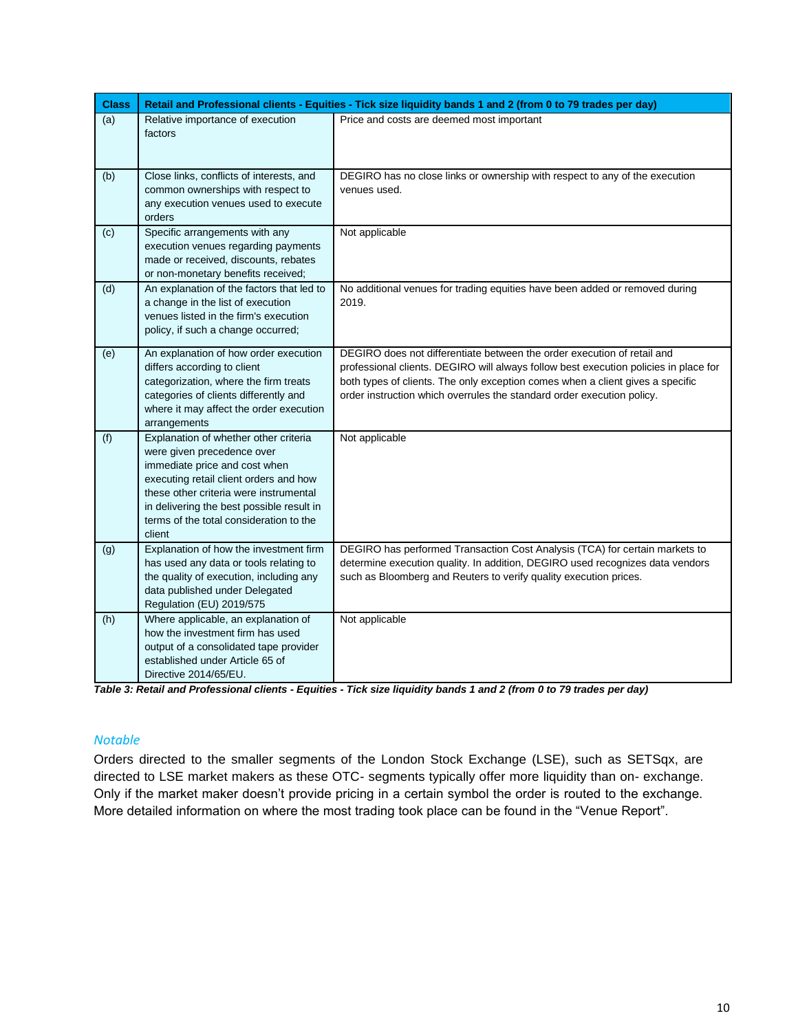| <b>Class</b> |                                                                                                                                                                                                                                                                                            | Retail and Professional clients - Equities - Tick size liquidity bands 1 and 2 (from 0 to 79 trades per day)                                                                                                                                                                                                                |
|--------------|--------------------------------------------------------------------------------------------------------------------------------------------------------------------------------------------------------------------------------------------------------------------------------------------|-----------------------------------------------------------------------------------------------------------------------------------------------------------------------------------------------------------------------------------------------------------------------------------------------------------------------------|
| (a)          | Relative importance of execution<br>factors                                                                                                                                                                                                                                                | Price and costs are deemed most important                                                                                                                                                                                                                                                                                   |
| (b)          | Close links, conflicts of interests, and<br>common ownerships with respect to<br>any execution venues used to execute<br>orders                                                                                                                                                            | DEGIRO has no close links or ownership with respect to any of the execution<br>venues used.                                                                                                                                                                                                                                 |
| (c)          | Specific arrangements with any<br>execution venues regarding payments<br>made or received, discounts, rebates<br>or non-monetary benefits received;                                                                                                                                        | Not applicable                                                                                                                                                                                                                                                                                                              |
| (d)          | An explanation of the factors that led to<br>a change in the list of execution<br>venues listed in the firm's execution<br>policy, if such a change occurred;                                                                                                                              | No additional venues for trading equities have been added or removed during<br>2019.                                                                                                                                                                                                                                        |
| (e)          | An explanation of how order execution<br>differs according to client<br>categorization, where the firm treats<br>categories of clients differently and<br>where it may affect the order execution<br>arrangements                                                                          | DEGIRO does not differentiate between the order execution of retail and<br>professional clients. DEGIRO will always follow best execution policies in place for<br>both types of clients. The only exception comes when a client gives a specific<br>order instruction which overrules the standard order execution policy. |
| (f)          | Explanation of whether other criteria<br>were given precedence over<br>immediate price and cost when<br>executing retail client orders and how<br>these other criteria were instrumental<br>in delivering the best possible result in<br>terms of the total consideration to the<br>client | Not applicable                                                                                                                                                                                                                                                                                                              |
| (g)          | Explanation of how the investment firm<br>has used any data or tools relating to<br>the quality of execution, including any<br>data published under Delegated<br>Regulation (EU) 2019/575                                                                                                  | DEGIRO has performed Transaction Cost Analysis (TCA) for certain markets to<br>determine execution quality. In addition, DEGIRO used recognizes data vendors<br>such as Bloomberg and Reuters to verify quality execution prices.                                                                                           |
| (h)          | Where applicable, an explanation of<br>how the investment firm has used<br>output of a consolidated tape provider<br>established under Article 65 of<br>Directive 2014/65/EU.                                                                                                              | Not applicable                                                                                                                                                                                                                                                                                                              |

*Table 3: Retail and Professional clients - Equities - Tick size liquidity bands 1 and 2 (from 0 to 79 trades per day)*

#### *Notable*

Orders directed to the smaller segments of the London Stock Exchange (LSE), such as SETSqx, are directed to LSE market makers as these OTC- segments typically offer more liquidity than on- exchange. Only if the market maker doesn't provide pricing in a certain symbol the order is routed to the exchange. More detailed information on where the most trading took place can be found in the "Venue Report".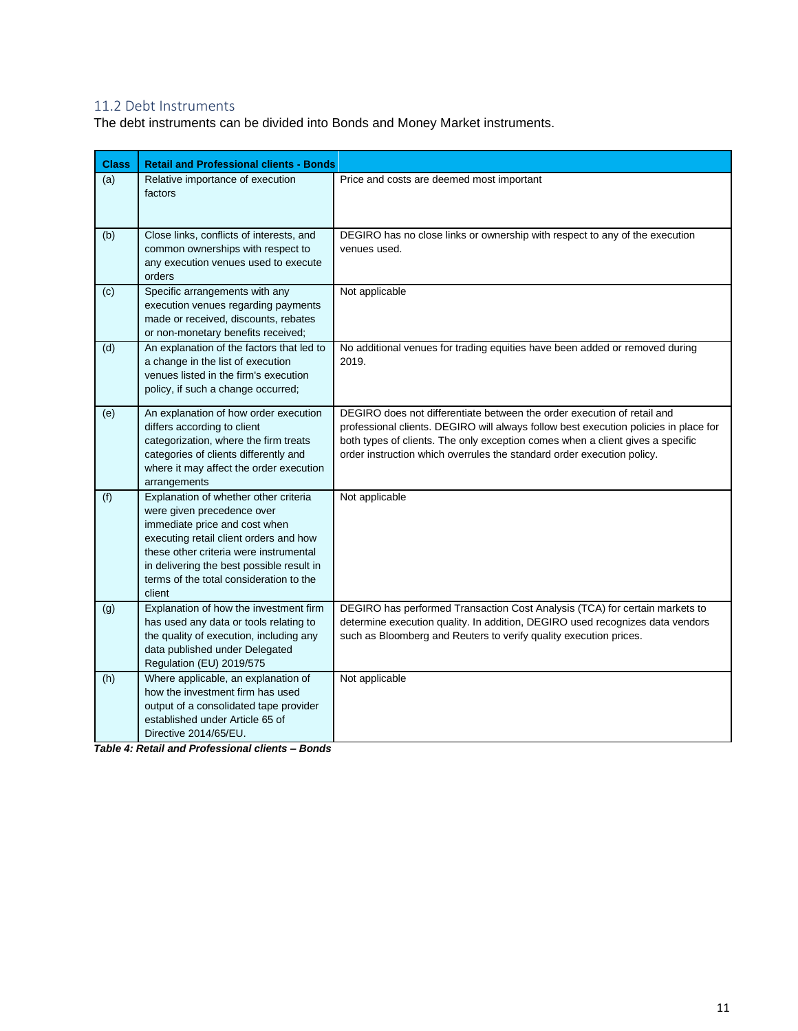## <span id="page-10-0"></span>11.2 Debt Instruments

The debt instruments can be divided into Bonds and Money Market instruments.

| <b>Class</b> | <b>Retail and Professional clients - Bonds</b>                                                                                                                                                                                                                                             |                                                                                                                                                                                                                                                                                                                             |
|--------------|--------------------------------------------------------------------------------------------------------------------------------------------------------------------------------------------------------------------------------------------------------------------------------------------|-----------------------------------------------------------------------------------------------------------------------------------------------------------------------------------------------------------------------------------------------------------------------------------------------------------------------------|
| (a)          | Relative importance of execution<br>factors                                                                                                                                                                                                                                                | Price and costs are deemed most important                                                                                                                                                                                                                                                                                   |
| (b)          | Close links, conflicts of interests, and<br>common ownerships with respect to<br>any execution venues used to execute<br>orders                                                                                                                                                            | DEGIRO has no close links or ownership with respect to any of the execution<br>venues used.                                                                                                                                                                                                                                 |
| (c)          | Specific arrangements with any<br>execution venues regarding payments<br>made or received, discounts, rebates<br>or non-monetary benefits received;                                                                                                                                        | Not applicable                                                                                                                                                                                                                                                                                                              |
| (d)          | An explanation of the factors that led to<br>a change in the list of execution<br>venues listed in the firm's execution<br>policy, if such a change occurred;                                                                                                                              | No additional venues for trading equities have been added or removed during<br>2019.                                                                                                                                                                                                                                        |
| (e)          | An explanation of how order execution<br>differs according to client<br>categorization, where the firm treats<br>categories of clients differently and<br>where it may affect the order execution<br>arrangements                                                                          | DEGIRO does not differentiate between the order execution of retail and<br>professional clients. DEGIRO will always follow best execution policies in place for<br>both types of clients. The only exception comes when a client gives a specific<br>order instruction which overrules the standard order execution policy. |
| (f)          | Explanation of whether other criteria<br>were given precedence over<br>immediate price and cost when<br>executing retail client orders and how<br>these other criteria were instrumental<br>in delivering the best possible result in<br>terms of the total consideration to the<br>client | Not applicable                                                                                                                                                                                                                                                                                                              |
| (g)          | Explanation of how the investment firm<br>has used any data or tools relating to<br>the quality of execution, including any<br>data published under Delegated<br>Regulation (EU) 2019/575                                                                                                  | DEGIRO has performed Transaction Cost Analysis (TCA) for certain markets to<br>determine execution quality. In addition, DEGIRO used recognizes data vendors<br>such as Bloomberg and Reuters to verify quality execution prices.                                                                                           |
| (h)          | Where applicable, an explanation of<br>how the investment firm has used<br>output of a consolidated tape provider<br>established under Article 65 of<br>Directive 2014/65/EU.                                                                                                              | Not applicable                                                                                                                                                                                                                                                                                                              |

*Table 4: Retail and Professional clients – Bonds*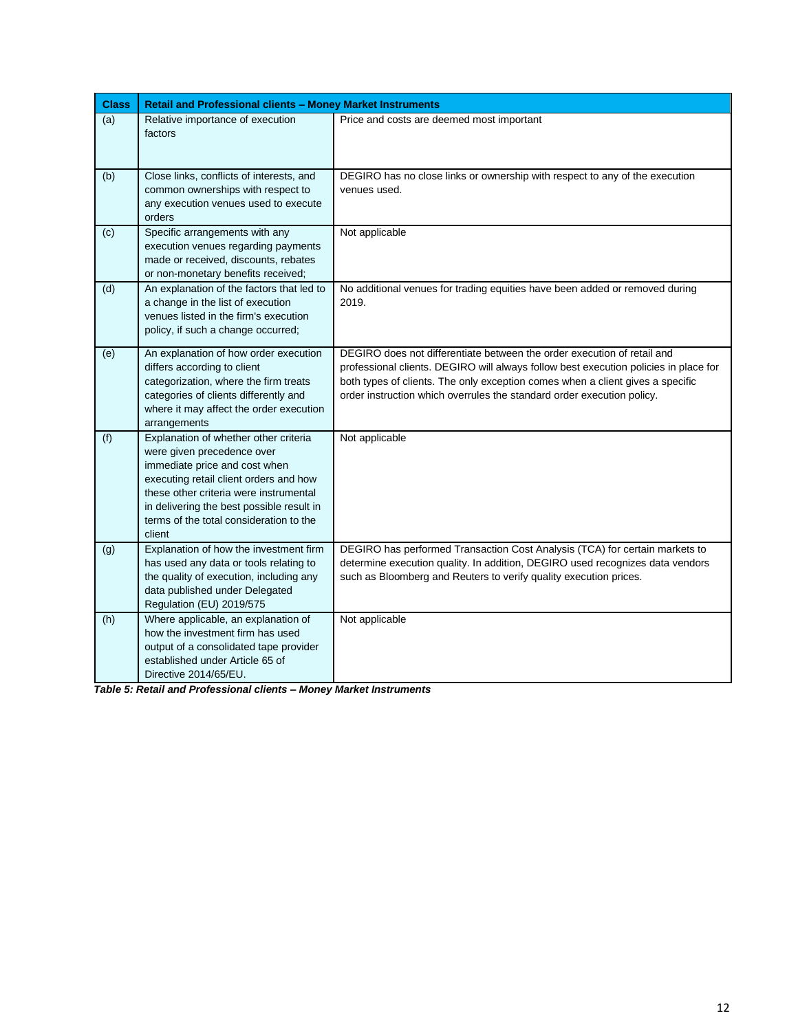| <b>Class</b> | Retail and Professional clients - Money Market Instruments                                                                                                                                                                                                                                 |                                                                                                                                                                                                                                                                                                                             |
|--------------|--------------------------------------------------------------------------------------------------------------------------------------------------------------------------------------------------------------------------------------------------------------------------------------------|-----------------------------------------------------------------------------------------------------------------------------------------------------------------------------------------------------------------------------------------------------------------------------------------------------------------------------|
| (a)          | Relative importance of execution<br>factors                                                                                                                                                                                                                                                | Price and costs are deemed most important                                                                                                                                                                                                                                                                                   |
| (b)          | Close links, conflicts of interests, and<br>common ownerships with respect to<br>any execution venues used to execute<br>orders                                                                                                                                                            | DEGIRO has no close links or ownership with respect to any of the execution<br>venues used.                                                                                                                                                                                                                                 |
| (c)          | Specific arrangements with any<br>execution venues regarding payments<br>made or received, discounts, rebates<br>or non-monetary benefits received;                                                                                                                                        | Not applicable                                                                                                                                                                                                                                                                                                              |
| (d)          | An explanation of the factors that led to<br>a change in the list of execution<br>venues listed in the firm's execution<br>policy, if such a change occurred;                                                                                                                              | No additional venues for trading equities have been added or removed during<br>2019.                                                                                                                                                                                                                                        |
| (e)          | An explanation of how order execution<br>differs according to client<br>categorization, where the firm treats<br>categories of clients differently and<br>where it may affect the order execution<br>arrangements                                                                          | DEGIRO does not differentiate between the order execution of retail and<br>professional clients. DEGIRO will always follow best execution policies in place for<br>both types of clients. The only exception comes when a client gives a specific<br>order instruction which overrules the standard order execution policy. |
| (f)          | Explanation of whether other criteria<br>were given precedence over<br>immediate price and cost when<br>executing retail client orders and how<br>these other criteria were instrumental<br>in delivering the best possible result in<br>terms of the total consideration to the<br>client | Not applicable                                                                                                                                                                                                                                                                                                              |
| (g)          | Explanation of how the investment firm<br>has used any data or tools relating to<br>the quality of execution, including any<br>data published under Delegated<br>Regulation (EU) 2019/575                                                                                                  | DEGIRO has performed Transaction Cost Analysis (TCA) for certain markets to<br>determine execution quality. In addition, DEGIRO used recognizes data vendors<br>such as Bloomberg and Reuters to verify quality execution prices.                                                                                           |
| (h)          | Where applicable, an explanation of<br>how the investment firm has used<br>output of a consolidated tape provider<br>established under Article 65 of<br>Directive 2014/65/EU.                                                                                                              | Not applicable                                                                                                                                                                                                                                                                                                              |

*Table 5: Retail and Professional clients – Money Market Instruments*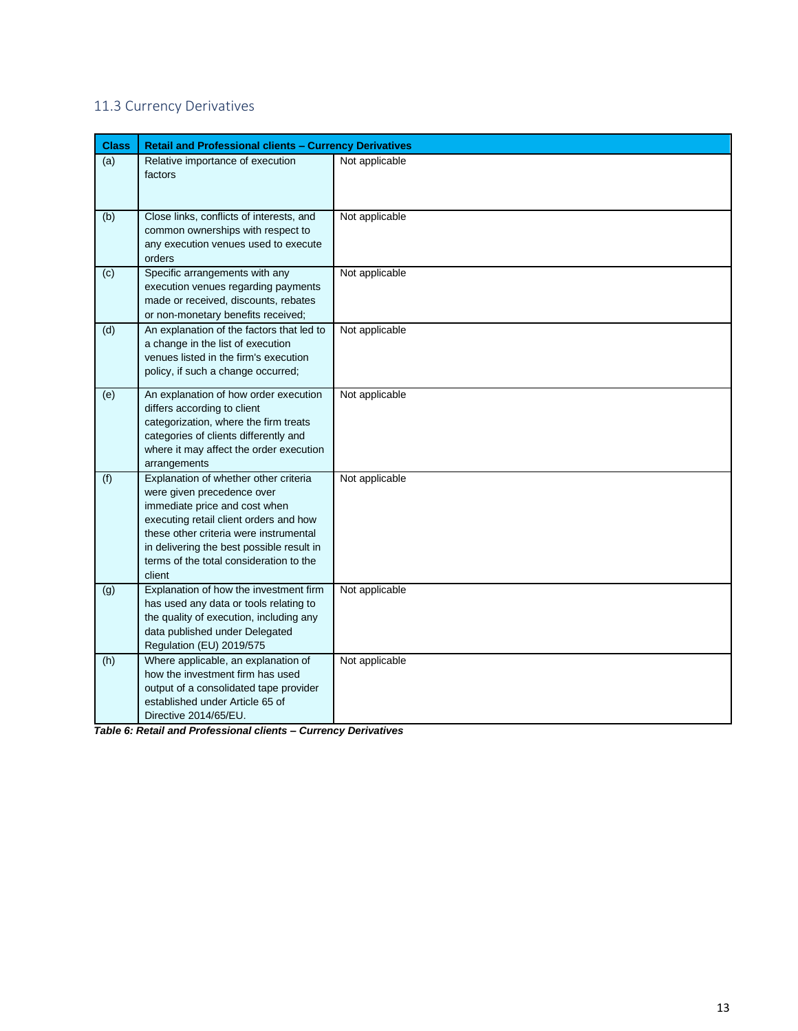## <span id="page-12-0"></span>11.3 Currency Derivatives

| <b>Class</b> | <b>Retail and Professional clients - Currency Derivatives</b>                                                                                                                                                                                                                              |                |
|--------------|--------------------------------------------------------------------------------------------------------------------------------------------------------------------------------------------------------------------------------------------------------------------------------------------|----------------|
| (a)          | Relative importance of execution<br>factors                                                                                                                                                                                                                                                | Not applicable |
| (b)          | Close links, conflicts of interests, and<br>common ownerships with respect to<br>any execution venues used to execute<br>orders                                                                                                                                                            | Not applicable |
| (c)          | Specific arrangements with any<br>execution venues regarding payments<br>made or received, discounts, rebates<br>or non-monetary benefits received;                                                                                                                                        | Not applicable |
| (d)          | An explanation of the factors that led to<br>a change in the list of execution<br>venues listed in the firm's execution<br>policy, if such a change occurred;                                                                                                                              | Not applicable |
| (e)          | An explanation of how order execution<br>differs according to client<br>categorization, where the firm treats<br>categories of clients differently and<br>where it may affect the order execution<br>arrangements                                                                          | Not applicable |
| (f)          | Explanation of whether other criteria<br>were given precedence over<br>immediate price and cost when<br>executing retail client orders and how<br>these other criteria were instrumental<br>in delivering the best possible result in<br>terms of the total consideration to the<br>client | Not applicable |
| (g)          | Explanation of how the investment firm<br>has used any data or tools relating to<br>the quality of execution, including any<br>data published under Delegated<br>Regulation (EU) 2019/575                                                                                                  | Not applicable |
| (h)          | Where applicable, an explanation of<br>how the investment firm has used<br>output of a consolidated tape provider<br>established under Article 65 of<br>Directive 2014/65/EU.                                                                                                              | Not applicable |

*Table 6: Retail and Professional clients – Currency Derivatives*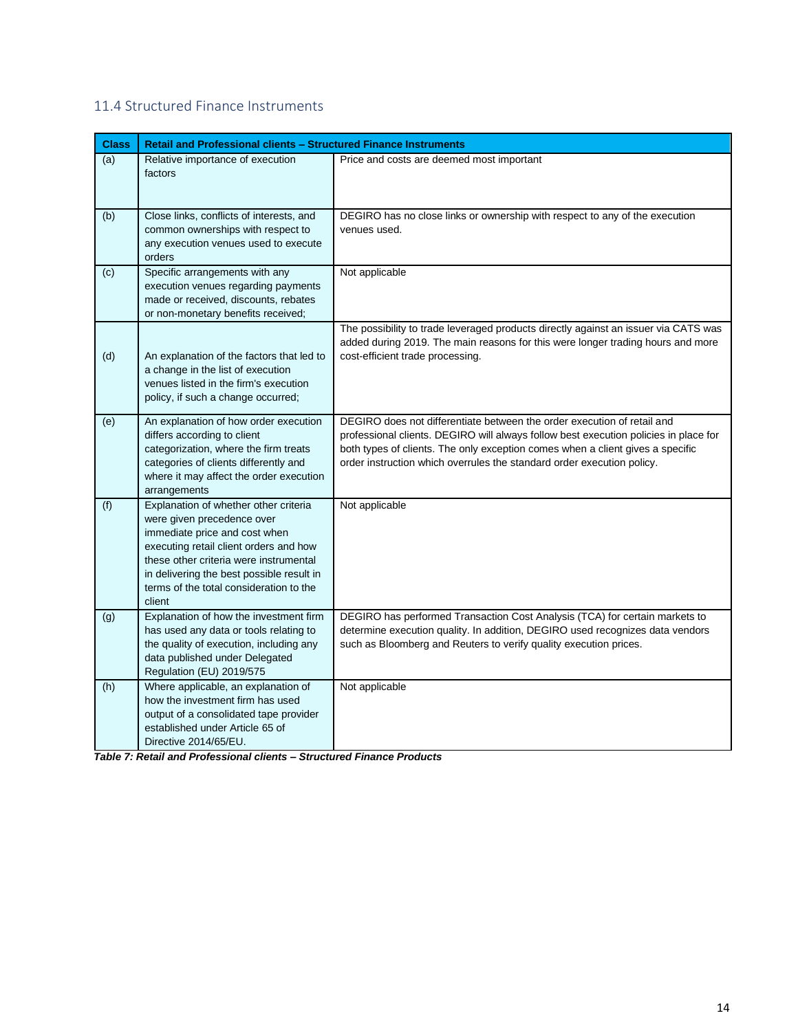## <span id="page-13-0"></span>11.4 Structured Finance Instruments

| <b>Class</b> | <b>Retail and Professional clients - Structured Finance Instruments</b>                                                                                                                                                                                                                    |                                                                                                                                                                                                                                                                                                                             |
|--------------|--------------------------------------------------------------------------------------------------------------------------------------------------------------------------------------------------------------------------------------------------------------------------------------------|-----------------------------------------------------------------------------------------------------------------------------------------------------------------------------------------------------------------------------------------------------------------------------------------------------------------------------|
| (a)          | Relative importance of execution<br>factors                                                                                                                                                                                                                                                | Price and costs are deemed most important                                                                                                                                                                                                                                                                                   |
| (b)          | Close links, conflicts of interests, and<br>common ownerships with respect to<br>any execution venues used to execute<br>orders                                                                                                                                                            | DEGIRO has no close links or ownership with respect to any of the execution<br>venues used.                                                                                                                                                                                                                                 |
| (c)          | Specific arrangements with any<br>execution venues regarding payments<br>made or received, discounts, rebates<br>or non-monetary benefits received;                                                                                                                                        | Not applicable                                                                                                                                                                                                                                                                                                              |
| (d)          | An explanation of the factors that led to<br>a change in the list of execution<br>venues listed in the firm's execution<br>policy, if such a change occurred;                                                                                                                              | The possibility to trade leveraged products directly against an issuer via CATS was<br>added during 2019. The main reasons for this were longer trading hours and more<br>cost-efficient trade processing.                                                                                                                  |
| (e)          | An explanation of how order execution<br>differs according to client<br>categorization, where the firm treats<br>categories of clients differently and<br>where it may affect the order execution<br>arrangements                                                                          | DEGIRO does not differentiate between the order execution of retail and<br>professional clients. DEGIRO will always follow best execution policies in place for<br>both types of clients. The only exception comes when a client gives a specific<br>order instruction which overrules the standard order execution policy. |
| (f)          | Explanation of whether other criteria<br>were given precedence over<br>immediate price and cost when<br>executing retail client orders and how<br>these other criteria were instrumental<br>in delivering the best possible result in<br>terms of the total consideration to the<br>client | Not applicable                                                                                                                                                                                                                                                                                                              |
| (g)          | Explanation of how the investment firm<br>has used any data or tools relating to<br>the quality of execution, including any<br>data published under Delegated<br>Regulation (EU) 2019/575                                                                                                  | DEGIRO has performed Transaction Cost Analysis (TCA) for certain markets to<br>determine execution quality. In addition, DEGIRO used recognizes data vendors<br>such as Bloomberg and Reuters to verify quality execution prices.                                                                                           |
| (h)          | Where applicable, an explanation of<br>how the investment firm has used<br>output of a consolidated tape provider<br>established under Article 65 of<br>Directive 2014/65/EU.                                                                                                              | Not applicable                                                                                                                                                                                                                                                                                                              |

*Table 7: Retail and Professional clients – Structured Finance Products*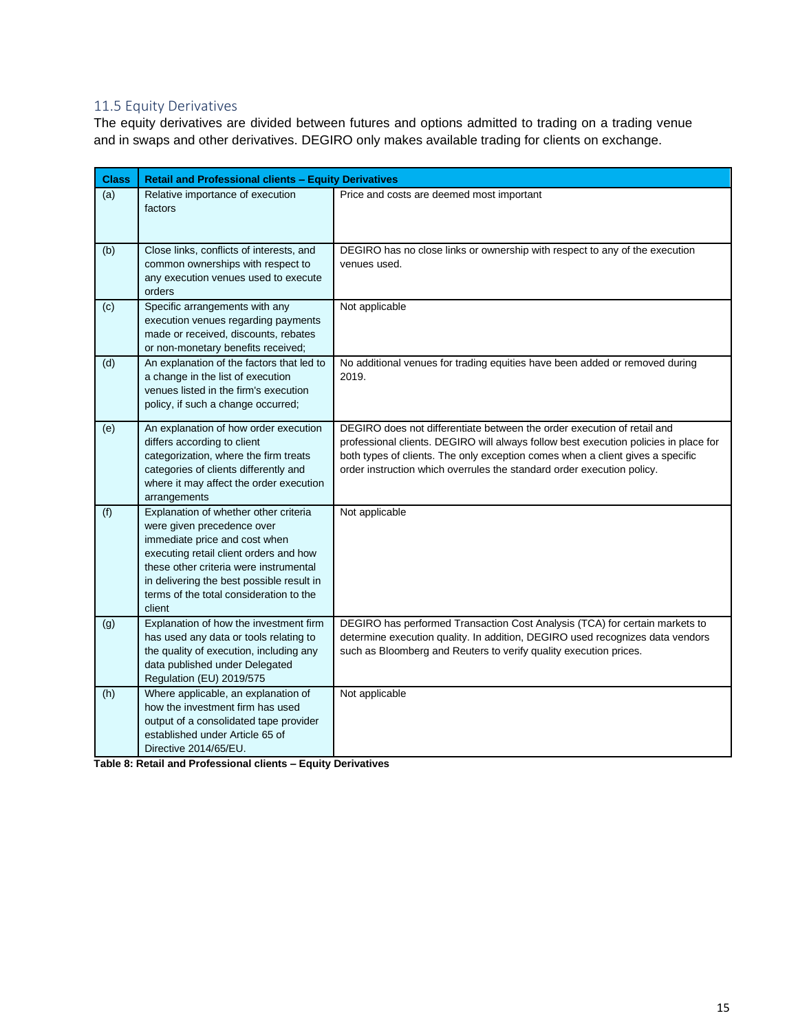### <span id="page-14-0"></span>11.5 Equity Derivatives

The equity derivatives are divided between futures and options admitted to trading on a trading venue and in swaps and other derivatives. DEGIRO only makes available trading for clients on exchange.

| <b>Class</b> | <b>Retail and Professional clients - Equity Derivatives</b>                                                                                                                                                                                                                                |                                                                                                                                                                                                                                                                                                                             |
|--------------|--------------------------------------------------------------------------------------------------------------------------------------------------------------------------------------------------------------------------------------------------------------------------------------------|-----------------------------------------------------------------------------------------------------------------------------------------------------------------------------------------------------------------------------------------------------------------------------------------------------------------------------|
| (a)          | Relative importance of execution<br>factors                                                                                                                                                                                                                                                | Price and costs are deemed most important                                                                                                                                                                                                                                                                                   |
| (b)          | Close links, conflicts of interests, and<br>common ownerships with respect to<br>any execution venues used to execute<br>orders                                                                                                                                                            | DEGIRO has no close links or ownership with respect to any of the execution<br>venues used.                                                                                                                                                                                                                                 |
| (c)          | Specific arrangements with any<br>execution venues regarding payments<br>made or received, discounts, rebates<br>or non-monetary benefits received;                                                                                                                                        | Not applicable                                                                                                                                                                                                                                                                                                              |
| (d)          | An explanation of the factors that led to<br>a change in the list of execution<br>venues listed in the firm's execution<br>policy, if such a change occurred;                                                                                                                              | No additional venues for trading equities have been added or removed during<br>2019.                                                                                                                                                                                                                                        |
| (e)          | An explanation of how order execution<br>differs according to client<br>categorization, where the firm treats<br>categories of clients differently and<br>where it may affect the order execution<br>arrangements                                                                          | DEGIRO does not differentiate between the order execution of retail and<br>professional clients. DEGIRO will always follow best execution policies in place for<br>both types of clients. The only exception comes when a client gives a specific<br>order instruction which overrules the standard order execution policy. |
| (f)          | Explanation of whether other criteria<br>were given precedence over<br>immediate price and cost when<br>executing retail client orders and how<br>these other criteria were instrumental<br>in delivering the best possible result in<br>terms of the total consideration to the<br>client | Not applicable                                                                                                                                                                                                                                                                                                              |
| (g)          | Explanation of how the investment firm<br>has used any data or tools relating to<br>the quality of execution, including any<br>data published under Delegated<br>Regulation (EU) 2019/575                                                                                                  | DEGIRO has performed Transaction Cost Analysis (TCA) for certain markets to<br>determine execution quality. In addition, DEGIRO used recognizes data vendors<br>such as Bloomberg and Reuters to verify quality execution prices.                                                                                           |
| (h)          | Where applicable, an explanation of<br>how the investment firm has used<br>output of a consolidated tape provider<br>established under Article 65 of<br>Directive 2014/65/EU.                                                                                                              | Not applicable                                                                                                                                                                                                                                                                                                              |

**Table 8: Retail and Professional clients – Equity Derivatives**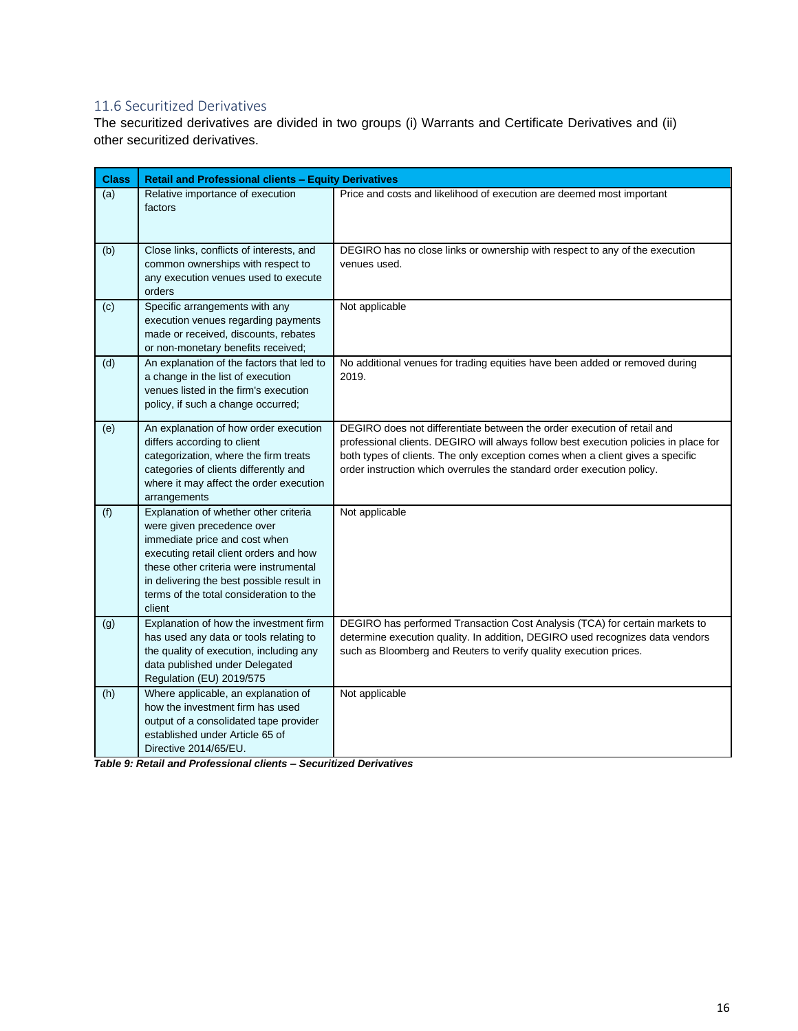## <span id="page-15-0"></span>11.6 Securitized Derivatives

The securitized derivatives are divided in two groups (i) Warrants and Certificate Derivatives and (ii) other securitized derivatives.

| <b>Class</b> | <b>Retail and Professional clients - Equity Derivatives</b>                                                                                                                                                                                                                                |                                                                                                                                                                                                                                                                                                                             |
|--------------|--------------------------------------------------------------------------------------------------------------------------------------------------------------------------------------------------------------------------------------------------------------------------------------------|-----------------------------------------------------------------------------------------------------------------------------------------------------------------------------------------------------------------------------------------------------------------------------------------------------------------------------|
| (a)          | Relative importance of execution<br>factors                                                                                                                                                                                                                                                | Price and costs and likelihood of execution are deemed most important                                                                                                                                                                                                                                                       |
| (b)          | Close links, conflicts of interests, and<br>common ownerships with respect to<br>any execution venues used to execute<br>orders                                                                                                                                                            | DEGIRO has no close links or ownership with respect to any of the execution<br>venues used.                                                                                                                                                                                                                                 |
| (c)          | Specific arrangements with any<br>execution venues regarding payments<br>made or received, discounts, rebates<br>or non-monetary benefits received;                                                                                                                                        | Not applicable                                                                                                                                                                                                                                                                                                              |
| (d)          | An explanation of the factors that led to<br>a change in the list of execution<br>venues listed in the firm's execution<br>policy, if such a change occurred;                                                                                                                              | No additional venues for trading equities have been added or removed during<br>2019.                                                                                                                                                                                                                                        |
| (e)          | An explanation of how order execution<br>differs according to client<br>categorization, where the firm treats<br>categories of clients differently and<br>where it may affect the order execution<br>arrangements                                                                          | DEGIRO does not differentiate between the order execution of retail and<br>professional clients. DEGIRO will always follow best execution policies in place for<br>both types of clients. The only exception comes when a client gives a specific<br>order instruction which overrules the standard order execution policy. |
| (f)          | Explanation of whether other criteria<br>were given precedence over<br>immediate price and cost when<br>executing retail client orders and how<br>these other criteria were instrumental<br>in delivering the best possible result in<br>terms of the total consideration to the<br>client | Not applicable                                                                                                                                                                                                                                                                                                              |
| (g)          | Explanation of how the investment firm<br>has used any data or tools relating to<br>the quality of execution, including any<br>data published under Delegated<br>Regulation (EU) 2019/575                                                                                                  | DEGIRO has performed Transaction Cost Analysis (TCA) for certain markets to<br>determine execution quality. In addition, DEGIRO used recognizes data vendors<br>such as Bloomberg and Reuters to verify quality execution prices.                                                                                           |
| (h)          | Where applicable, an explanation of<br>how the investment firm has used<br>output of a consolidated tape provider<br>established under Article 65 of<br>Directive 2014/65/EU.                                                                                                              | Not applicable                                                                                                                                                                                                                                                                                                              |

*Table 9: Retail and Professional clients – Securitized Derivatives*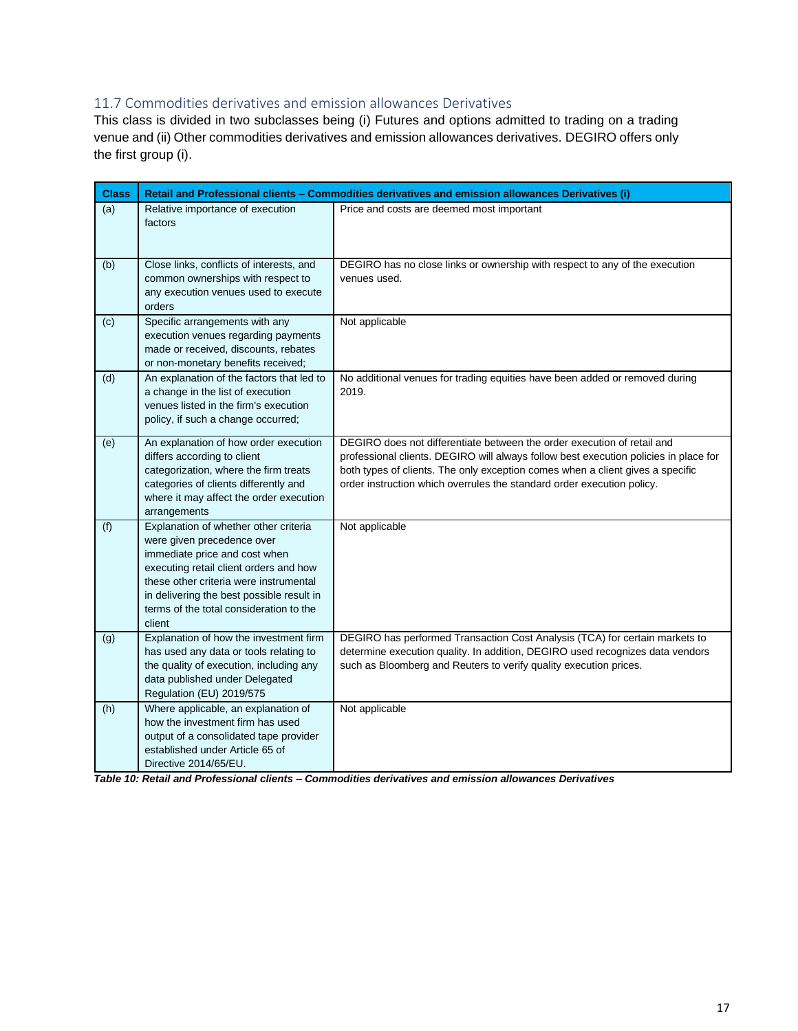#### <span id="page-16-0"></span>11.7 Commodities derivatives and emission allowances Derivatives

This class is divided in two subclasses being (i) Futures and options admitted to trading on a trading venue and (ii) Other commodities derivatives and emission allowances derivatives. DEGIRO offers only the first group (i).

| <b>Class</b> |                                                                                                                                                                                                                                                                                            | Retail and Professional clients - Commodities derivatives and emission allowances Derivatives (i)                                                                                                                                                                                                                           |
|--------------|--------------------------------------------------------------------------------------------------------------------------------------------------------------------------------------------------------------------------------------------------------------------------------------------|-----------------------------------------------------------------------------------------------------------------------------------------------------------------------------------------------------------------------------------------------------------------------------------------------------------------------------|
| (a)          | Relative importance of execution<br>factors                                                                                                                                                                                                                                                | Price and costs are deemed most important                                                                                                                                                                                                                                                                                   |
| (b)          | Close links, conflicts of interests, and<br>common ownerships with respect to<br>any execution venues used to execute<br>orders                                                                                                                                                            | DEGIRO has no close links or ownership with respect to any of the execution<br>venues used.                                                                                                                                                                                                                                 |
| (c)          | Specific arrangements with any<br>execution venues regarding payments<br>made or received, discounts, rebates<br>or non-monetary benefits received;                                                                                                                                        | Not applicable                                                                                                                                                                                                                                                                                                              |
| (d)          | An explanation of the factors that led to<br>a change in the list of execution<br>venues listed in the firm's execution<br>policy, if such a change occurred;                                                                                                                              | No additional venues for trading equities have been added or removed during<br>2019.                                                                                                                                                                                                                                        |
| (e)          | An explanation of how order execution<br>differs according to client<br>categorization, where the firm treats<br>categories of clients differently and<br>where it may affect the order execution<br>arrangements                                                                          | DEGIRO does not differentiate between the order execution of retail and<br>professional clients. DEGIRO will always follow best execution policies in place for<br>both types of clients. The only exception comes when a client gives a specific<br>order instruction which overrules the standard order execution policy. |
| (f)          | Explanation of whether other criteria<br>were given precedence over<br>immediate price and cost when<br>executing retail client orders and how<br>these other criteria were instrumental<br>in delivering the best possible result in<br>terms of the total consideration to the<br>client | Not applicable                                                                                                                                                                                                                                                                                                              |
| (g)          | Explanation of how the investment firm<br>has used any data or tools relating to<br>the quality of execution, including any<br>data published under Delegated<br>Regulation (EU) 2019/575                                                                                                  | DEGIRO has performed Transaction Cost Analysis (TCA) for certain markets to<br>determine execution quality. In addition, DEGIRO used recognizes data vendors<br>such as Bloomberg and Reuters to verify quality execution prices.                                                                                           |
| (h)          | Where applicable, an explanation of<br>how the investment firm has used<br>output of a consolidated tape provider<br>established under Article 65 of<br>Directive 2014/65/EU.                                                                                                              | Not applicable                                                                                                                                                                                                                                                                                                              |

*Table 10: Retail and Professional clients – Commodities derivatives and emission allowances Derivatives*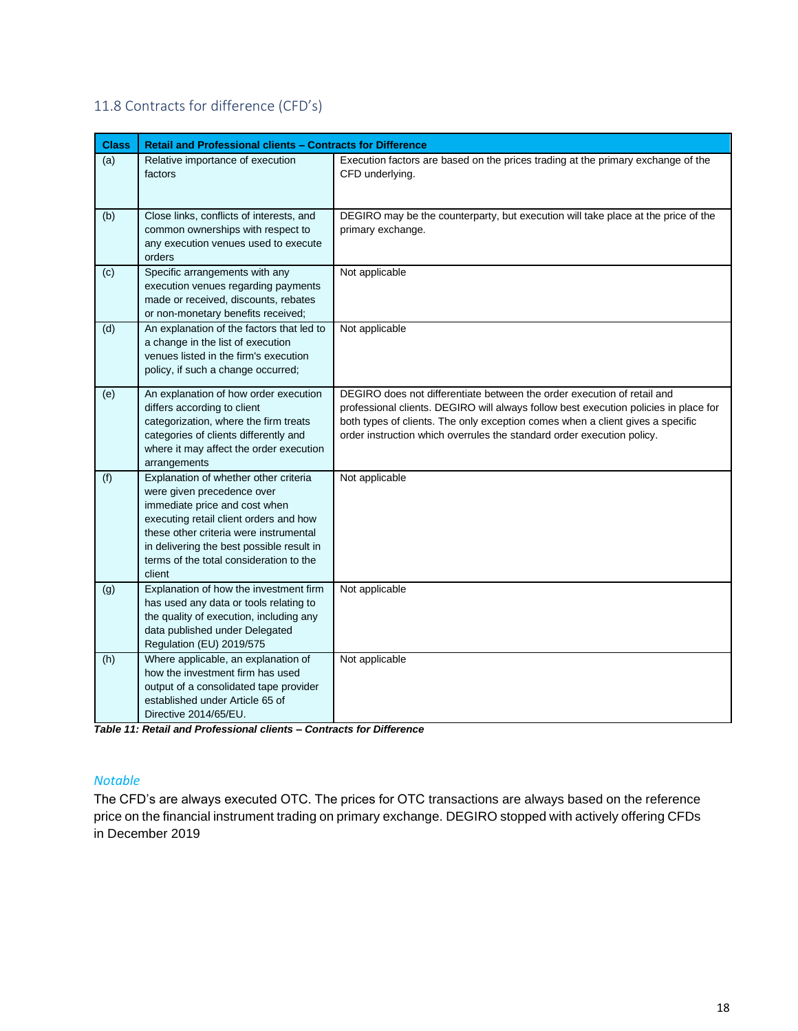## <span id="page-17-0"></span>11.8 Contracts for difference (CFD's)

| <b>Class</b> | Retail and Professional clients - Contracts for Difference                                                                                                                                                                                                                                 |                                                                                                                                                                                                                                                                                                                             |
|--------------|--------------------------------------------------------------------------------------------------------------------------------------------------------------------------------------------------------------------------------------------------------------------------------------------|-----------------------------------------------------------------------------------------------------------------------------------------------------------------------------------------------------------------------------------------------------------------------------------------------------------------------------|
| (a)          | Relative importance of execution<br>factors                                                                                                                                                                                                                                                | Execution factors are based on the prices trading at the primary exchange of the<br>CFD underlying.                                                                                                                                                                                                                         |
| (b)          | Close links, conflicts of interests, and<br>common ownerships with respect to<br>any execution venues used to execute<br>orders                                                                                                                                                            | DEGIRO may be the counterparty, but execution will take place at the price of the<br>primary exchange.                                                                                                                                                                                                                      |
| (c)          | Specific arrangements with any<br>execution venues regarding payments<br>made or received, discounts, rebates<br>or non-monetary benefits received;                                                                                                                                        | Not applicable                                                                                                                                                                                                                                                                                                              |
| (d)          | An explanation of the factors that led to<br>a change in the list of execution<br>venues listed in the firm's execution<br>policy, if such a change occurred;                                                                                                                              | Not applicable                                                                                                                                                                                                                                                                                                              |
| (e)          | An explanation of how order execution<br>differs according to client<br>categorization, where the firm treats<br>categories of clients differently and<br>where it may affect the order execution<br>arrangements                                                                          | DEGIRO does not differentiate between the order execution of retail and<br>professional clients. DEGIRO will always follow best execution policies in place for<br>both types of clients. The only exception comes when a client gives a specific<br>order instruction which overrules the standard order execution policy. |
| (f)          | Explanation of whether other criteria<br>were given precedence over<br>immediate price and cost when<br>executing retail client orders and how<br>these other criteria were instrumental<br>in delivering the best possible result in<br>terms of the total consideration to the<br>client | Not applicable                                                                                                                                                                                                                                                                                                              |
| (g)          | Explanation of how the investment firm<br>has used any data or tools relating to<br>the quality of execution, including any<br>data published under Delegated<br>Regulation (EU) 2019/575                                                                                                  | Not applicable                                                                                                                                                                                                                                                                                                              |
| (h)          | Where applicable, an explanation of<br>how the investment firm has used<br>output of a consolidated tape provider<br>established under Article 65 of<br>Directive 2014/65/EU.                                                                                                              | Not applicable                                                                                                                                                                                                                                                                                                              |

*Table 11: Retail and Professional clients – Contracts for Difference*

#### *Notable*

The CFD's are always executed OTC. The prices for OTC transactions are always based on the reference price on the financial instrument trading on primary exchange. DEGIRO stopped with actively offering CFDs in December 2019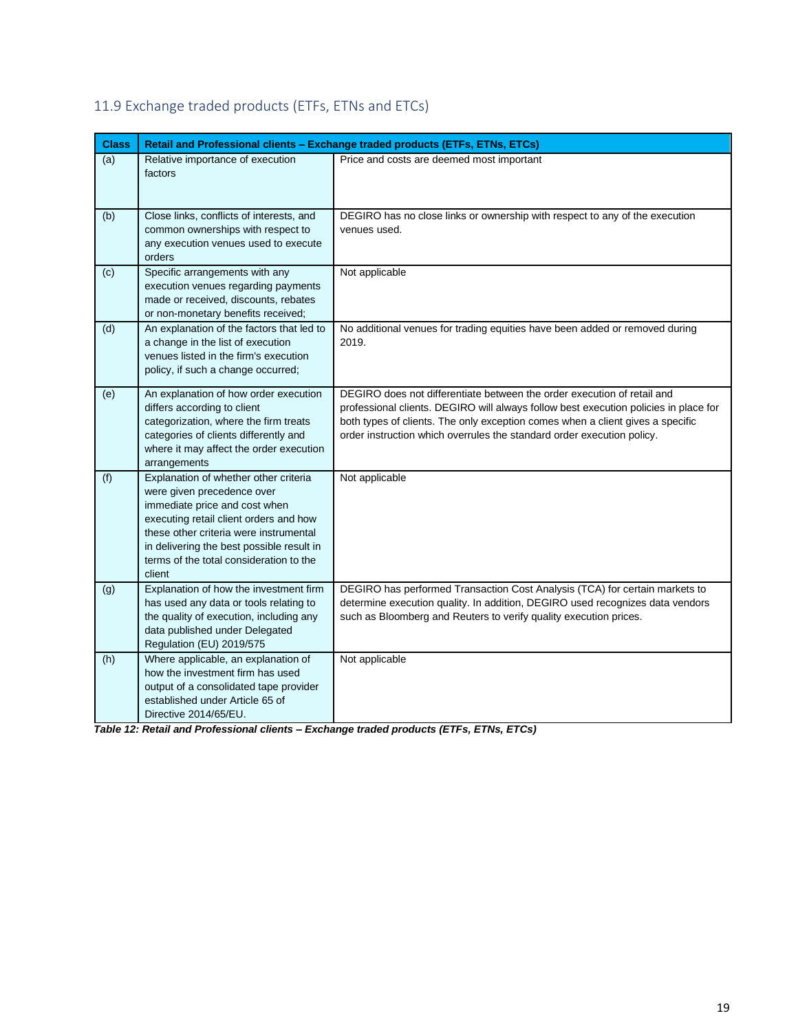| <b>Class</b> |                                                                                                                                                                                                                                                                                            | Retail and Professional clients - Exchange traded products (ETFs, ETNs, ETCs)                                                                                                                                                                                                                                               |  |  |
|--------------|--------------------------------------------------------------------------------------------------------------------------------------------------------------------------------------------------------------------------------------------------------------------------------------------|-----------------------------------------------------------------------------------------------------------------------------------------------------------------------------------------------------------------------------------------------------------------------------------------------------------------------------|--|--|
| (a)          | Relative importance of execution<br>factors                                                                                                                                                                                                                                                | Price and costs are deemed most important                                                                                                                                                                                                                                                                                   |  |  |
| (b)          | Close links, conflicts of interests, and<br>common ownerships with respect to<br>any execution venues used to execute<br>orders                                                                                                                                                            | DEGIRO has no close links or ownership with respect to any of the execution<br>venues used.                                                                                                                                                                                                                                 |  |  |
| (c)          | Specific arrangements with any<br>execution venues regarding payments<br>made or received, discounts, rebates<br>or non-monetary benefits received;                                                                                                                                        | Not applicable                                                                                                                                                                                                                                                                                                              |  |  |
| (d)          | An explanation of the factors that led to<br>a change in the list of execution<br>venues listed in the firm's execution<br>policy, if such a change occurred;                                                                                                                              | No additional venues for trading equities have been added or removed during<br>2019.                                                                                                                                                                                                                                        |  |  |
| (e)          | An explanation of how order execution<br>differs according to client<br>categorization, where the firm treats<br>categories of clients differently and<br>where it may affect the order execution<br>arrangements                                                                          | DEGIRO does not differentiate between the order execution of retail and<br>professional clients. DEGIRO will always follow best execution policies in place for<br>both types of clients. The only exception comes when a client gives a specific<br>order instruction which overrules the standard order execution policy. |  |  |
| (f)          | Explanation of whether other criteria<br>were given precedence over<br>immediate price and cost when<br>executing retail client orders and how<br>these other criteria were instrumental<br>in delivering the best possible result in<br>terms of the total consideration to the<br>client | Not applicable                                                                                                                                                                                                                                                                                                              |  |  |
| (g)          | Explanation of how the investment firm<br>has used any data or tools relating to<br>the quality of execution, including any<br>data published under Delegated<br>Regulation (EU) 2019/575                                                                                                  | DEGIRO has performed Transaction Cost Analysis (TCA) for certain markets to<br>determine execution quality. In addition, DEGIRO used recognizes data vendors<br>such as Bloomberg and Reuters to verify quality execution prices.                                                                                           |  |  |
| (h)          | Where applicable, an explanation of<br>how the investment firm has used<br>output of a consolidated tape provider<br>established under Article 65 of<br>Directive 2014/65/EU.                                                                                                              | Not applicable                                                                                                                                                                                                                                                                                                              |  |  |

## <span id="page-18-0"></span>11.9 Exchange traded products (ETFs, ETNs and ETCs)

*Table 12: Retail and Professional clients – Exchange traded products (ETFs, ETNs, ETCs)*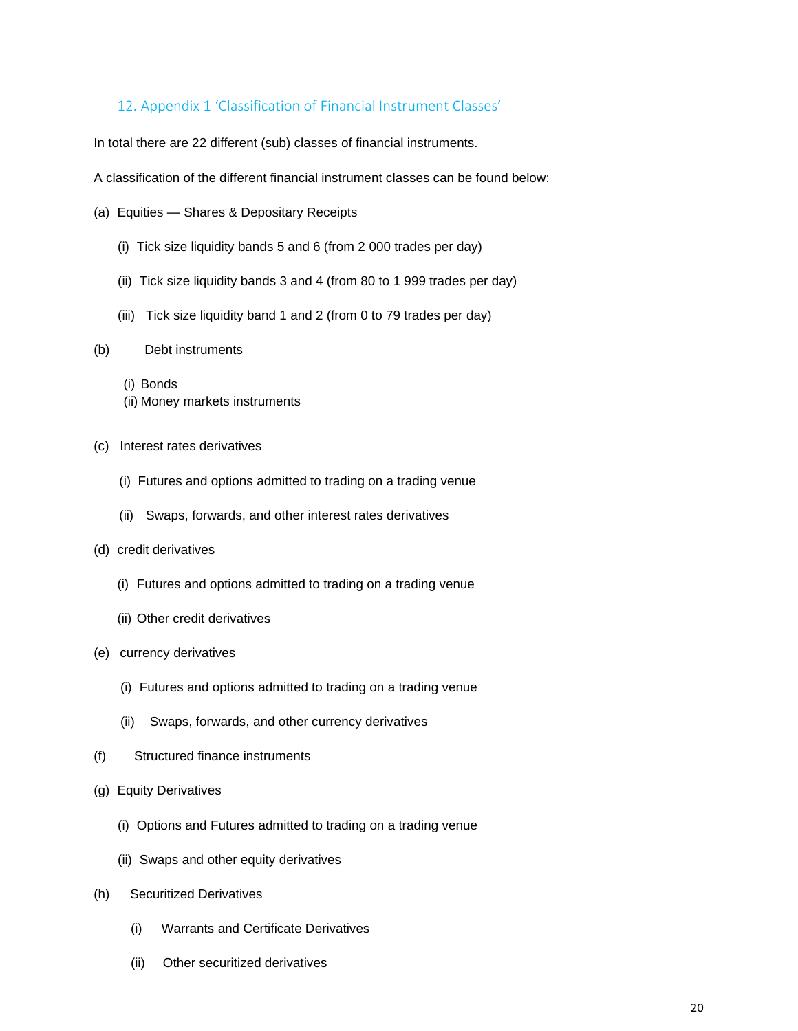### <span id="page-19-0"></span>12. Appendix 1 'Classification of Financial Instrument Classes'

In total there are 22 different (sub) classes of financial instruments.

A classification of the different financial instrument classes can be found below:

- (a) Equities Shares & Depositary Receipts
	- (i) Tick size liquidity bands 5 and 6 (from 2 000 trades per day)
	- (ii) Tick size liquidity bands 3 and 4 (from 80 to 1 999 trades per day)
	- (iii) Tick size liquidity band 1 and 2 (from 0 to 79 trades per day)

#### (b) Debt instruments

- (i) Bonds
- (ii) Money markets instruments
- (c) Interest rates derivatives
	- (i) Futures and options admitted to trading on a trading venue
	- (ii) Swaps, forwards, and other interest rates derivatives

#### (d) credit derivatives

- (i) Futures and options admitted to trading on a trading venue
- (ii) Other credit derivatives
- (e) currency derivatives
	- (i) Futures and options admitted to trading on a trading venue
	- (ii) Swaps, forwards, and other currency derivatives
- (f) Structured finance instruments
- (g) Equity Derivatives
	- (i) Options and Futures admitted to trading on a trading venue
	- (ii) Swaps and other equity derivatives
- (h) Securitized Derivatives
	- (i) Warrants and Certificate Derivatives
	- (ii) Other securitized derivatives